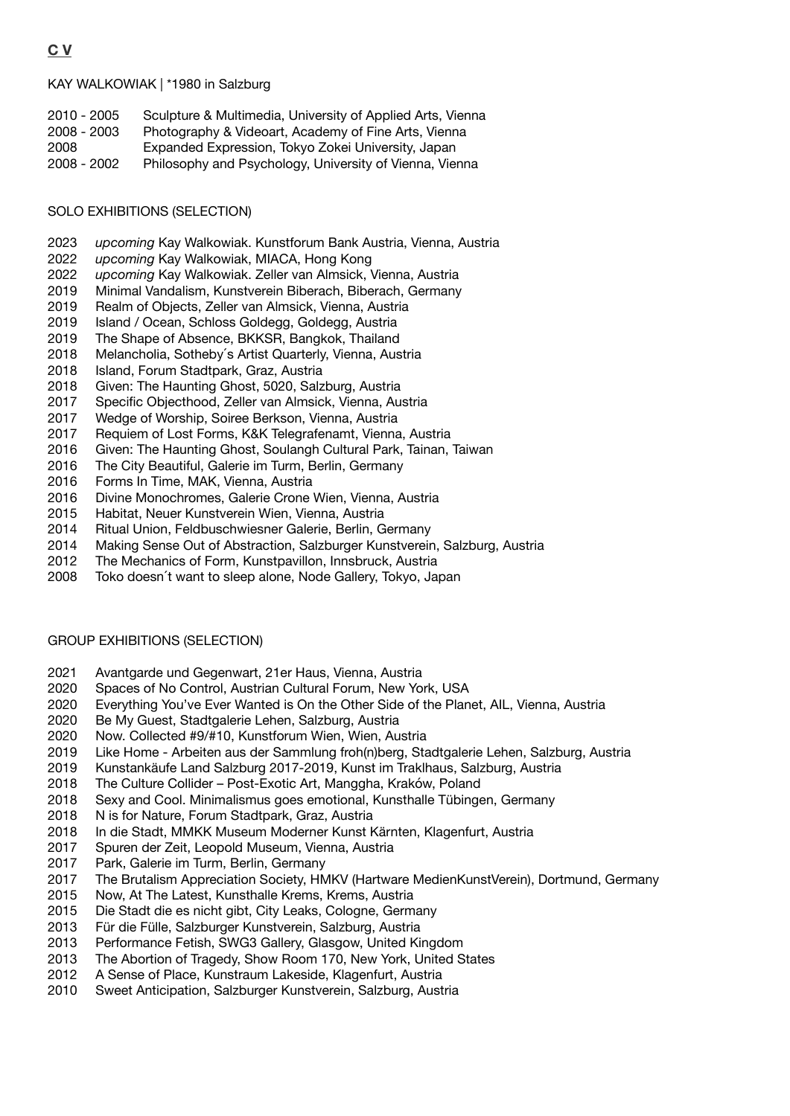KAY WALKOWIAK | \*1980 in Salzburg

| 2010 - 2005 | Sculpture & Multimedia, University of Applied Arts, Vienna |
|-------------|------------------------------------------------------------|
| 2008 - 2003 | Photography & Videoart, Academy of Fine Arts, Vienna       |
| 2008        | Expanded Expression, Tokyo Zokei University, Japan         |
| 2008 - 2002 | Philosophy and Psychology, University of Vienna, Vienna    |

# SOLO EXHIBITIONS (SELECTION)

- 2023 *upcoming* Kay Walkowiak. Kunstforum Bank Austria, Vienna, Austria
- 2022 *upcoming* Kay Walkowiak, MIACA, Hong Kong
- 2022 *upcoming* Kay Walkowiak. Zeller van Almsick, Vienna, Austria
- 2019 Minimal Vandalism, Kunstverein Biberach, Biberach, Germany
- 2019 Realm of Objects, Zeller van Almsick, Vienna, Austria
- 2019 Island / Ocean, Schloss Goldegg, Goldegg, Austria
- 2019 The Shape of Absence, BKKSR, Bangkok, Thailand
- 2018 Melancholia, Sotheby's Artist Quarterly, Vienna, Austria
- 2018 Island, Forum Stadtpark, Graz, Austria
- 2018 Given: The Haunting Ghost, 5020, Salzburg, Austria
- 2017 Specific Objecthood, Zeller van Almsick, Vienna, Austria
- 2017 Wedge of Worship, Soiree Berkson, Vienna, Austria
- 2017 Requiem of Lost Forms, K&K Telegrafenamt, Vienna, Austria
- 2016 Given: The Haunting Ghost, Soulangh Cultural Park, Tainan, Taiwan
- 2016 The City Beautiful, Galerie im Turm, Berlin, Germany
- 2016 Forms In Time, MAK, Vienna, Austria
- 2016 Divine Monochromes, Galerie Crone Wien, Vienna, Austria
- 2015 Habitat, Neuer Kunstverein Wien, Vienna, Austria
- 2014 Ritual Union, Feldbuschwiesner Galerie, Berlin, Germany
- 2014 Making Sense Out of Abstraction, Salzburger Kunstverein, Salzburg, Austria
- 2012 The Mechanics of Form, Kunstpavillon, Innsbruck, Austria
- 2008 Toko doesn't want to sleep alone, Node Gallery, Tokyo, Japan

# GROUP EXHIBITIONS (SELECTION)

- 2021 Avantgarde und Gegenwart, 21er Haus, Vienna, Austria
- 2020 Spaces of No Control, Austrian Cultural Forum, New York, USA
- 2020 Everything You've Ever Wanted is On the Other Side of the Planet, AIL, Vienna, Austria
- 2020 Be My Guest, Stadtgalerie Lehen, Salzburg, Austria
- 2020 Now. Collected #9/#10, Kunstforum Wien, Wien, Austria
- 2019 Like Home Arbeiten aus der Sammlung froh(n)berg, Stadtgalerie Lehen, Salzburg, Austria
- 2019 Kunstankäufe Land Salzburg 2017-2019, Kunst im Traklhaus, Salzburg, Austria
- 2018 The Culture Collider Post-Exotic Art, Manggha, Kraków, Poland
- 2018 Sexy and Cool. Minimalismus goes emotional, Kunsthalle Tübingen, Germany
- 2018 N is for Nature, Forum Stadtpark, Graz, Austria
- 2018 In die Stadt, MMKK Museum Moderner Kunst Kärnten, Klagenfurt, Austria
- 2017 Spuren der Zeit, Leopold Museum, Vienna, Austria
- 2017 Park, Galerie im Turm, Berlin, Germany
- 2017 The Brutalism Appreciation Society, HMKV (Hartware MedienKunstVerein), Dortmund, Germany
- 2015 Now, At The Latest, Kunsthalle Krems, Krems, Austria
- 2015 Die Stadt die es nicht gibt, City Leaks, Cologne, Germany
- 2013 Für die Fülle, Salzburger Kunstverein, Salzburg, Austria
- 2013 Performance Fetish, SWG3 Gallery, Glasgow, United Kingdom
- 2013 The Abortion of Tragedy, Show Room 170, New York, United States
- 2012 A Sense of Place, Kunstraum Lakeside, Klagenfurt, Austria
- 2010 Sweet Anticipation, Salzburger Kunstverein, Salzburg, Austria